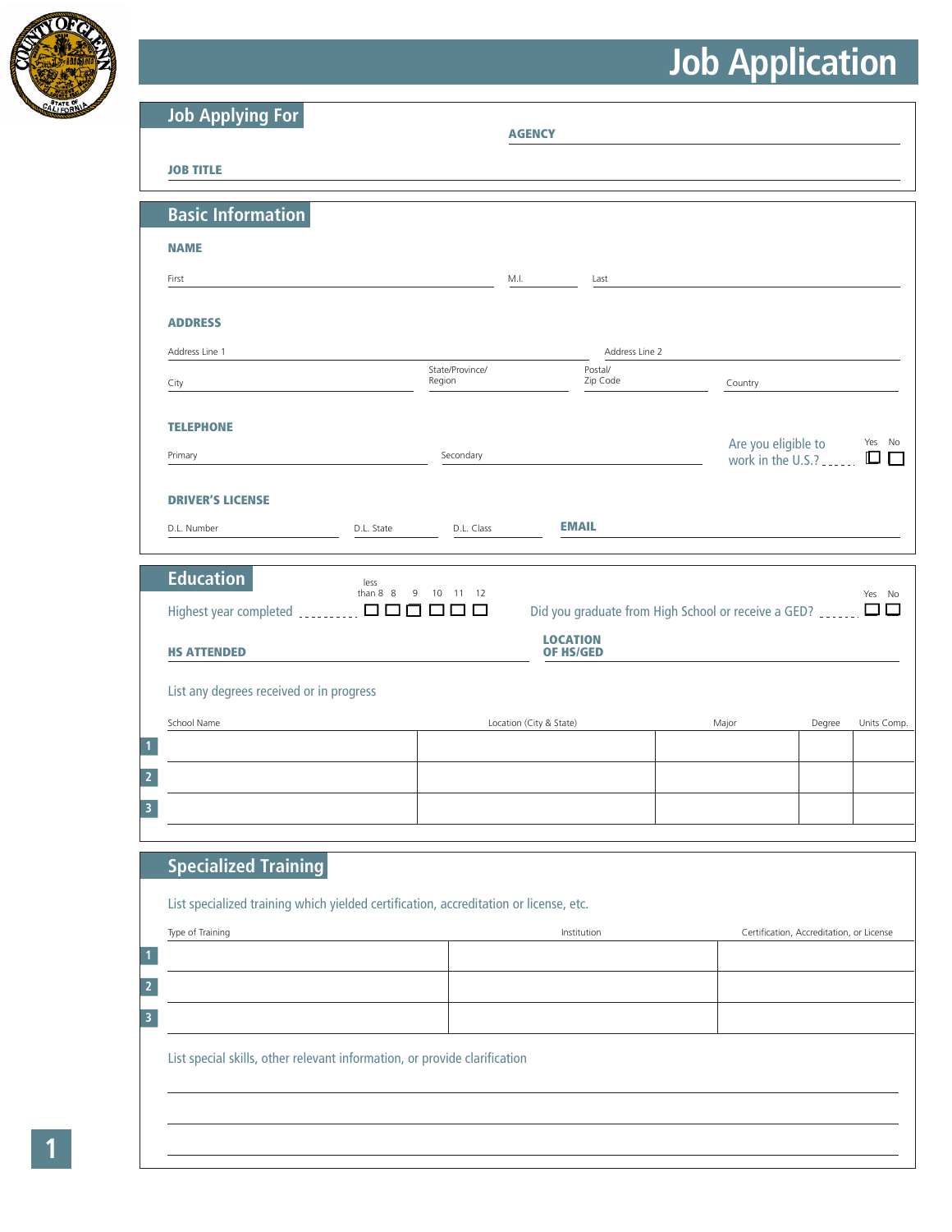

| <b>Job Applying For</b>                                                                                                                                              |                       |                            | <b>AGENCY</b>                                                                                     |                                          |        |                       |
|----------------------------------------------------------------------------------------------------------------------------------------------------------------------|-----------------------|----------------------------|---------------------------------------------------------------------------------------------------|------------------------------------------|--------|-----------------------|
| <b>JOB TITLE</b>                                                                                                                                                     |                       |                            |                                                                                                   |                                          |        |                       |
| <b>Basic Information</b>                                                                                                                                             |                       |                            |                                                                                                   |                                          |        |                       |
| <b>NAME</b>                                                                                                                                                          |                       |                            |                                                                                                   |                                          |        |                       |
| First                                                                                                                                                                |                       |                            | M.I.<br>Last                                                                                      |                                          |        |                       |
| <b>ADDRESS</b>                                                                                                                                                       |                       |                            |                                                                                                   |                                          |        |                       |
| Address Line 1                                                                                                                                                       |                       |                            | Address Line 2                                                                                    |                                          |        |                       |
| City                                                                                                                                                                 |                       | State/Province/<br>Region  | Postal/<br>Zip Code                                                                               | Country                                  |        |                       |
| <b>TELEPHONE</b>                                                                                                                                                     |                       |                            |                                                                                                   |                                          |        |                       |
| Primary                                                                                                                                                              |                       | Secondary                  |                                                                                                   | Are you eligible to<br>work in the U.S.? |        | Yes No<br>◫           |
|                                                                                                                                                                      |                       |                            |                                                                                                   |                                          |        |                       |
| <b>DRIVER'S LICENSE</b>                                                                                                                                              |                       |                            |                                                                                                   |                                          |        |                       |
| D.L. Number                                                                                                                                                          | D.L. State            | D.L. Class                 | <b>EMAIL</b>                                                                                      |                                          |        |                       |
| <b>Education</b><br>Highest year completed _________.<br><b>HS ATTENDED</b>                                                                                          | less<br>than $8 \t 8$ | 9<br>10<br>11 12<br>000000 | Did you graduate from High School or receive a GED? _____.<br><b>LOCATION</b><br><b>OF HS/GED</b> |                                          |        |                       |
|                                                                                                                                                                      |                       |                            |                                                                                                   |                                          |        |                       |
|                                                                                                                                                                      |                       |                            | Location (City & State)                                                                           | Major                                    | Degree |                       |
|                                                                                                                                                                      |                       |                            |                                                                                                   |                                          |        |                       |
|                                                                                                                                                                      |                       |                            |                                                                                                   |                                          |        |                       |
|                                                                                                                                                                      |                       |                            |                                                                                                   |                                          |        |                       |
|                                                                                                                                                                      |                       |                            |                                                                                                   |                                          |        |                       |
| <b>Specialized Training</b>                                                                                                                                          |                       |                            |                                                                                                   |                                          |        |                       |
|                                                                                                                                                                      |                       |                            |                                                                                                   |                                          |        |                       |
| List any degrees received or in progress<br>School Name<br>List specialized training which yielded certification, accreditation or license, etc.<br>Type of Training |                       |                            | Institution                                                                                       | Certification, Accreditation, or License |        |                       |
|                                                                                                                                                                      |                       |                            |                                                                                                   |                                          |        |                       |
|                                                                                                                                                                      |                       |                            |                                                                                                   |                                          |        |                       |
|                                                                                                                                                                      |                       |                            |                                                                                                   |                                          |        |                       |
| List special skills, other relevant information, or provide clarification                                                                                            |                       |                            |                                                                                                   |                                          |        | Yes No<br>Units Comp. |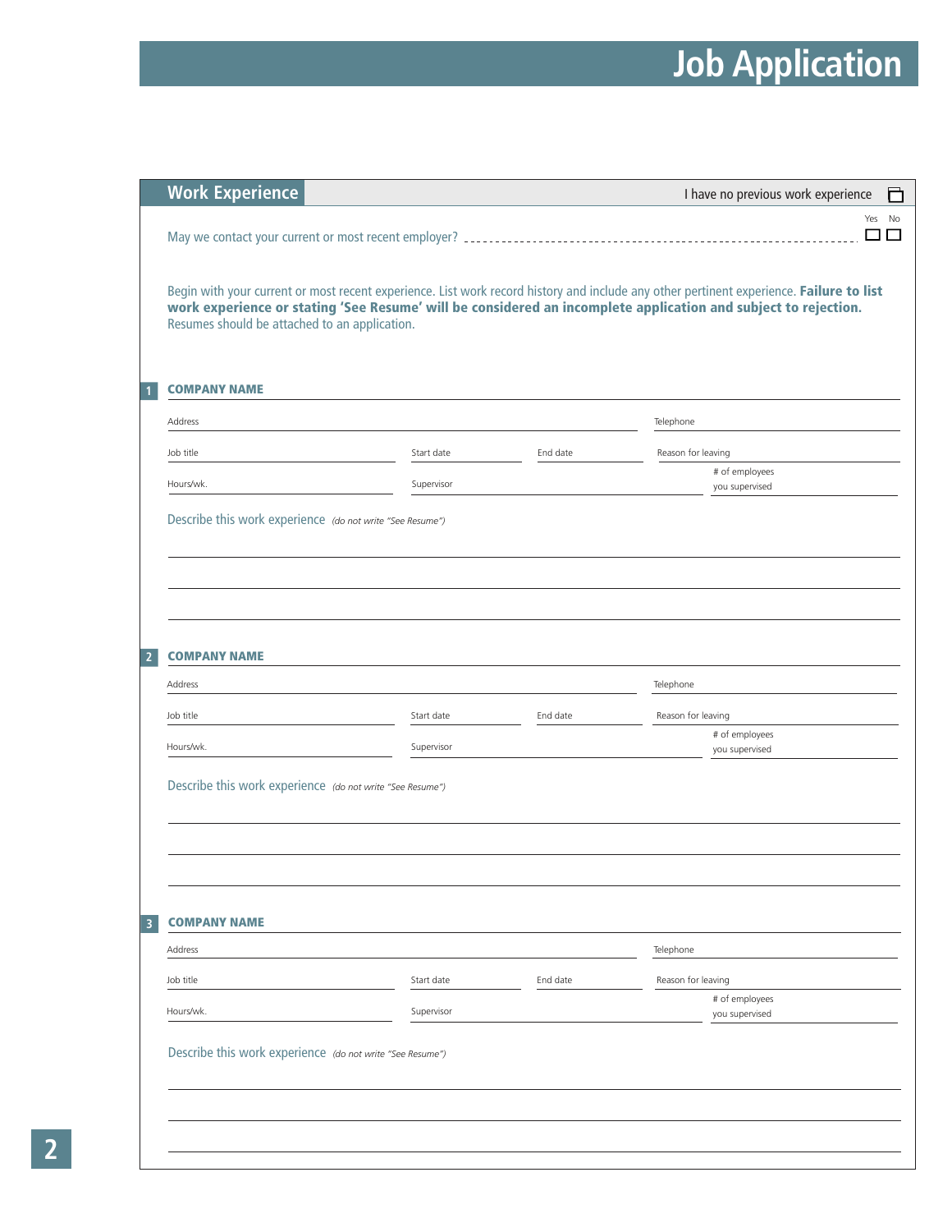|                | <b>Work Experience</b>                                                                                                                                          |            |          | I have no previous work experience<br>目                                                                                                 |
|----------------|-----------------------------------------------------------------------------------------------------------------------------------------------------------------|------------|----------|-----------------------------------------------------------------------------------------------------------------------------------------|
|                |                                                                                                                                                                 |            |          | No<br>Yes<br>П<br>$\mathsf{L}$                                                                                                          |
|                | work experience or stating 'See Resume' will be considered an incomplete application and subject to rejection.<br>Resumes should be attached to an application. |            |          | Begin with your current or most recent experience. List work record history and include any other pertinent experience. Failure to list |
| 1              | <b>COMPANY NAME</b>                                                                                                                                             |            |          |                                                                                                                                         |
|                | Address                                                                                                                                                         |            |          | Telephone                                                                                                                               |
|                | Job title                                                                                                                                                       | Start date | End date | Reason for leaving                                                                                                                      |
|                | Hours/wk.                                                                                                                                                       | Supervisor |          | # of employees<br>you supervised                                                                                                        |
|                | Describe this work experience (do not write "See Resume")                                                                                                       |            |          |                                                                                                                                         |
| $\overline{2}$ | <b>COMPANY NAME</b><br>Address                                                                                                                                  |            |          | Telephone                                                                                                                               |
|                | Job title                                                                                                                                                       | Start date | End date | Reason for leaving                                                                                                                      |
|                | Hours/wk.                                                                                                                                                       | Supervisor |          | # of employees<br>you supervised                                                                                                        |
|                | Describe this work experience (do not write "See Resume")                                                                                                       |            |          |                                                                                                                                         |
|                |                                                                                                                                                                 |            |          |                                                                                                                                         |
| 3              | <b>COMPANY NAME</b>                                                                                                                                             |            |          |                                                                                                                                         |
|                | Address                                                                                                                                                         |            |          | Telephone                                                                                                                               |
|                | Job title                                                                                                                                                       | Start date | End date | Reason for leaving                                                                                                                      |
|                | Hours/wk.                                                                                                                                                       | Supervisor |          | # of employees<br>you supervised                                                                                                        |
|                | Describe this work experience (do not write "See Resume")                                                                                                       |            |          |                                                                                                                                         |
|                |                                                                                                                                                                 |            |          |                                                                                                                                         |
|                |                                                                                                                                                                 |            |          |                                                                                                                                         |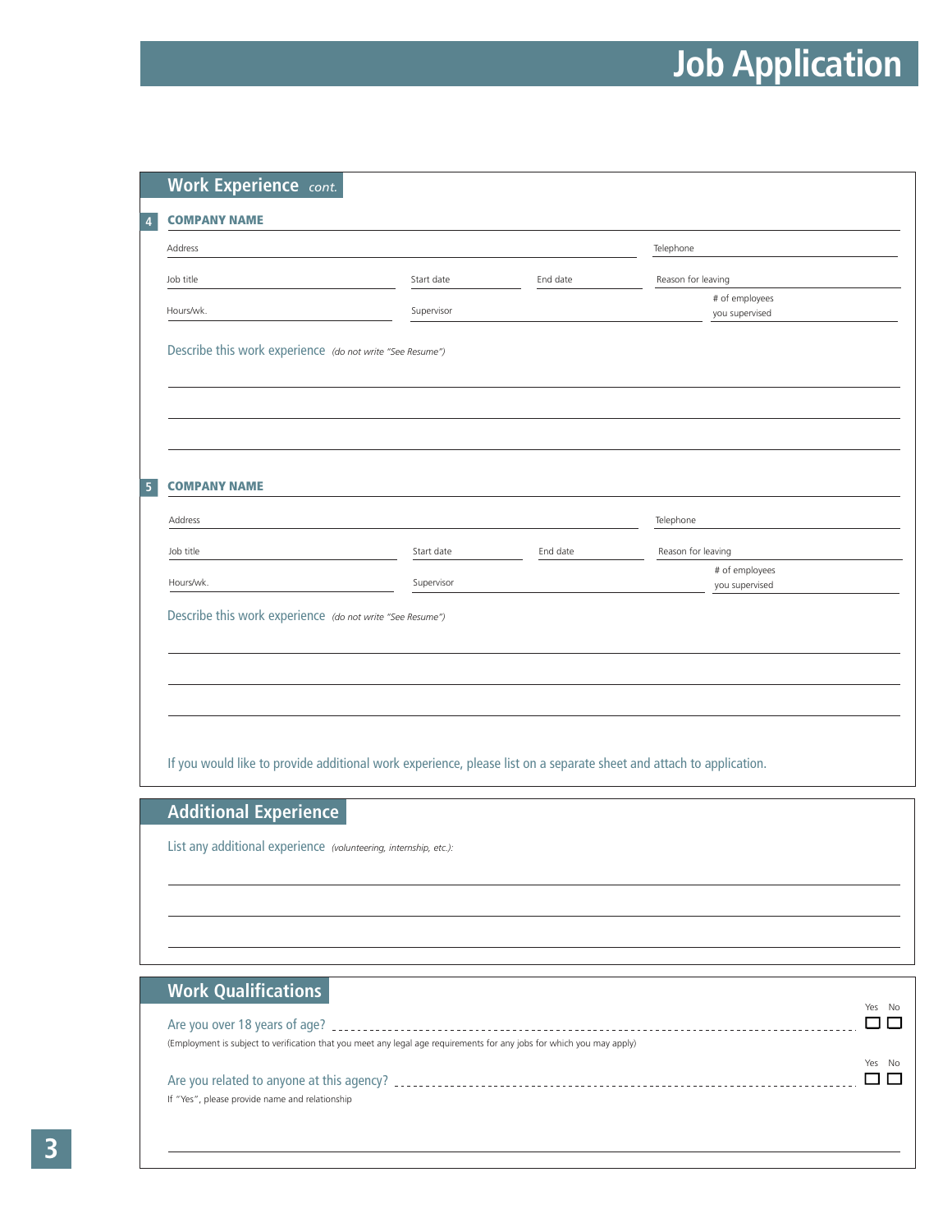|                                                           |                                                           |          | Telephone                        |  |
|-----------------------------------------------------------|-----------------------------------------------------------|----------|----------------------------------|--|
| Job title                                                 | Start date                                                | End date | Reason for leaving               |  |
| Hours/wk.                                                 | Supervisor                                                |          | # of employees<br>you supervised |  |
| Describe this work experience (do not write "See Resume") |                                                           |          |                                  |  |
|                                                           |                                                           |          |                                  |  |
|                                                           |                                                           |          |                                  |  |
|                                                           |                                                           |          |                                  |  |
|                                                           |                                                           |          |                                  |  |
| <b>COMPANY NAME</b>                                       |                                                           |          |                                  |  |
|                                                           |                                                           |          |                                  |  |
| Address                                                   |                                                           |          | Telephone                        |  |
| Job title                                                 | Start date                                                | End date | Reason for leaving               |  |
| Hours/wk.                                                 | Supervisor                                                |          | # of employees<br>you supervised |  |
|                                                           |                                                           |          |                                  |  |
|                                                           | Describe this work experience (do not write "See Resume") |          |                                  |  |
|                                                           |                                                           |          |                                  |  |
|                                                           |                                                           |          |                                  |  |
|                                                           |                                                           |          |                                  |  |
|                                                           |                                                           |          |                                  |  |

List any additional experience *(volunteering, internship, etc.):*

#### **Work Qualifications**

|                                                                                                                       | Yes No      |
|-----------------------------------------------------------------------------------------------------------------------|-------------|
| (Employment is subject to verification that you meet any legal age requirements for any jobs for which you may apply) |             |
| If "Yes", please provide name and relationship                                                                        | Yes<br>- No |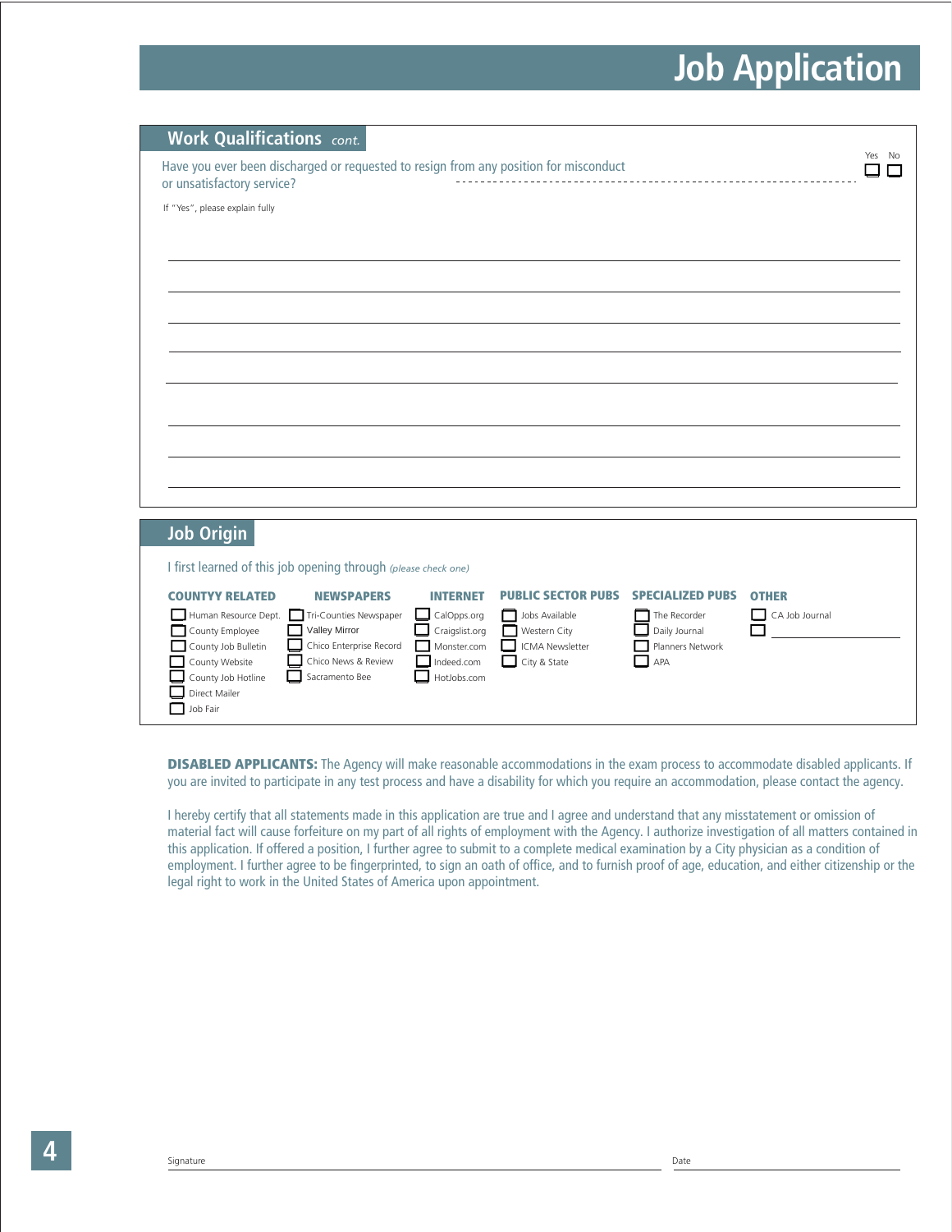| <b>Work Qualifications</b> cont.                                                                                                                                                                                            |        |
|-----------------------------------------------------------------------------------------------------------------------------------------------------------------------------------------------------------------------------|--------|
| Have you ever been discharged or requested to resign from any position for misconduct<br>or unsatisfactory service?                                                                                                         | Yes No |
| If "Yes", please explain fully                                                                                                                                                                                              |        |
|                                                                                                                                                                                                                             |        |
|                                                                                                                                                                                                                             |        |
|                                                                                                                                                                                                                             |        |
|                                                                                                                                                                                                                             |        |
|                                                                                                                                                                                                                             |        |
|                                                                                                                                                                                                                             |        |
|                                                                                                                                                                                                                             |        |
|                                                                                                                                                                                                                             |        |
|                                                                                                                                                                                                                             |        |
|                                                                                                                                                                                                                             |        |
|                                                                                                                                                                                                                             |        |
| <b>Job Origin</b>                                                                                                                                                                                                           |        |
| I first learned of this job opening through (please check one)                                                                                                                                                              |        |
| <b>PUBLIC SECTOR PUBS</b><br><b>SPECIALIZED PUBS</b><br><b>COUNTYY RELATED</b><br><b>NEWSPAPERS</b><br><b>INTERNET</b><br><b>OTHER</b>                                                                                      |        |
| Human Resource Dept.<br>Tri-Counties Newspaper<br>CA Job Journal<br>$\Box$ CalOpps.org<br>Jobs Available<br>The Recorder<br>l I<br>County Employee<br>Valley Mirror<br>Craigslist.org<br>Western City<br>Daily Journal<br>П |        |
| Chico Enterprise Record<br>County Job Bulletin<br><b>ICMA Newsletter</b><br>Monster.com<br>Planners Network<br>County Website<br>Chico News & Review<br>Indeed.com<br>City & State<br>APA                                   |        |
| Sacramento Bee<br>County Job Hotline<br>HotJobs.com                                                                                                                                                                         |        |
| Direct Mailer<br>Job Fair                                                                                                                                                                                                   |        |
|                                                                                                                                                                                                                             |        |

**DISABLED APPLICANTS:** The Agency will make reasonable accommodations in the exam process to accommodate disabled applicants. If you are invited to participate in any test process and have a disability for which you require an accommodation, please contact the agency.

I hereby certify that all statements made in this application are true and I agree and understand that any misstatement or omission of material fact will cause forfeiture on my part of all rights of employment with the Agency. I authorize investigation of all matters contained in this application. If offered a position, I further agree to submit to a complete medical examination by a City physician as a condition of employment. I further agree to be fingerprinted, to sign an oath of office, and to furnish proof of age, education, and either citizenship or the legal right to work in the United States of America upon appointment.

**4**